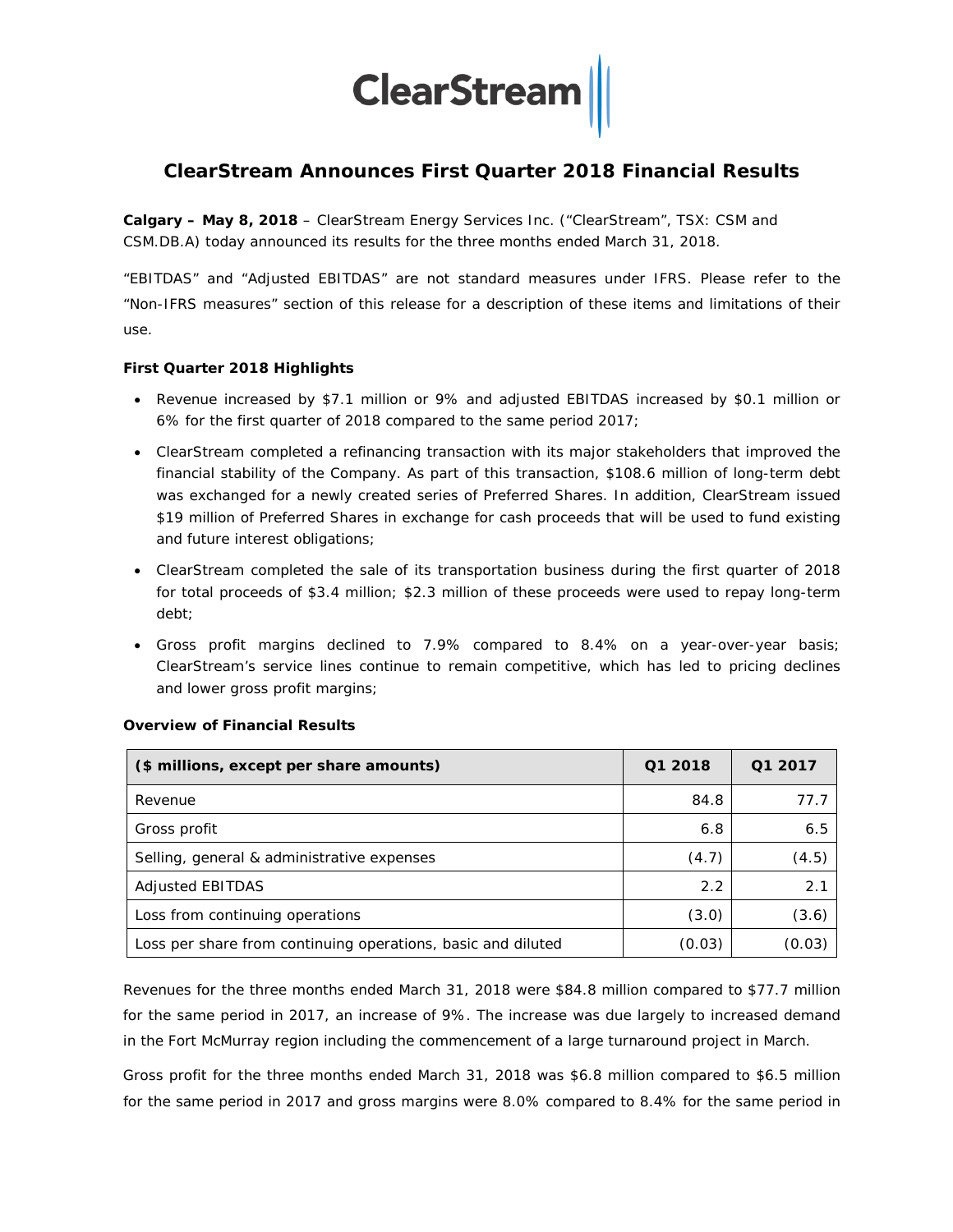

# **ClearStream Announces First Quarter 2018 Financial Results**

**Calgary – May 8, 2018** – ClearStream Energy Services Inc. ("ClearStream", TSX: CSM and CSM.DB.A) today announced its results for the three months ended March 31, 2018.

"EBITDAS" and "Adjusted EBITDAS" are not standard measures under IFRS. Please refer to the "Non-IFRS measures" section of this release for a description of these items and limitations of their use.

#### **First Quarter 2018 Highlights**

- Revenue increased by \$7.1 million or 9% and adjusted EBITDAS increased by \$0.1 million or 6% for the first quarter of 2018 compared to the same period 2017;
- ClearStream completed a refinancing transaction with its major stakeholders that improved the financial stability of the Company. As part of this transaction, \$108.6 million of long-term debt was exchanged for a newly created series of Preferred Shares. In addition, ClearStream issued \$19 million of Preferred Shares in exchange for cash proceeds that will be used to fund existing and future interest obligations;
- ClearStream completed the sale of its transportation business during the first quarter of 2018 for total proceeds of \$3.4 million; \$2.3 million of these proceeds were used to repay long-term debt;
- Gross profit margins declined to 7.9% compared to 8.4% on a year-over-year basis; ClearStream's service lines continue to remain competitive, which has led to pricing declines and lower gross profit margins;

| (\$ millions, except per share amounts)                      | Q1 2018 | Q1 2017 |
|--------------------------------------------------------------|---------|---------|
| Revenue                                                      | 84.8    | 77.7    |
| Gross profit                                                 | 6.8     | 6.5     |
| Selling, general & administrative expenses                   | (4.7)   | (4.5)   |
| Adjusted EBITDAS                                             | 2.2     | 2.1     |
| Loss from continuing operations                              | (3.0)   | (3.6)   |
| Loss per share from continuing operations, basic and diluted | (0.03)  | (0.03)  |

#### **Overview of Financial Results**

Revenues for the three months ended March 31, 2018 were \$84.8 million compared to \$77.7 million for the same period in 2017, an increase of 9%. The increase was due largely to increased demand in the Fort McMurray region including the commencement of a large turnaround project in March.

Gross profit for the three months ended March 31, 2018 was \$6.8 million compared to \$6.5 million for the same period in 2017 and gross margins were 8.0% compared to 8.4% for the same period in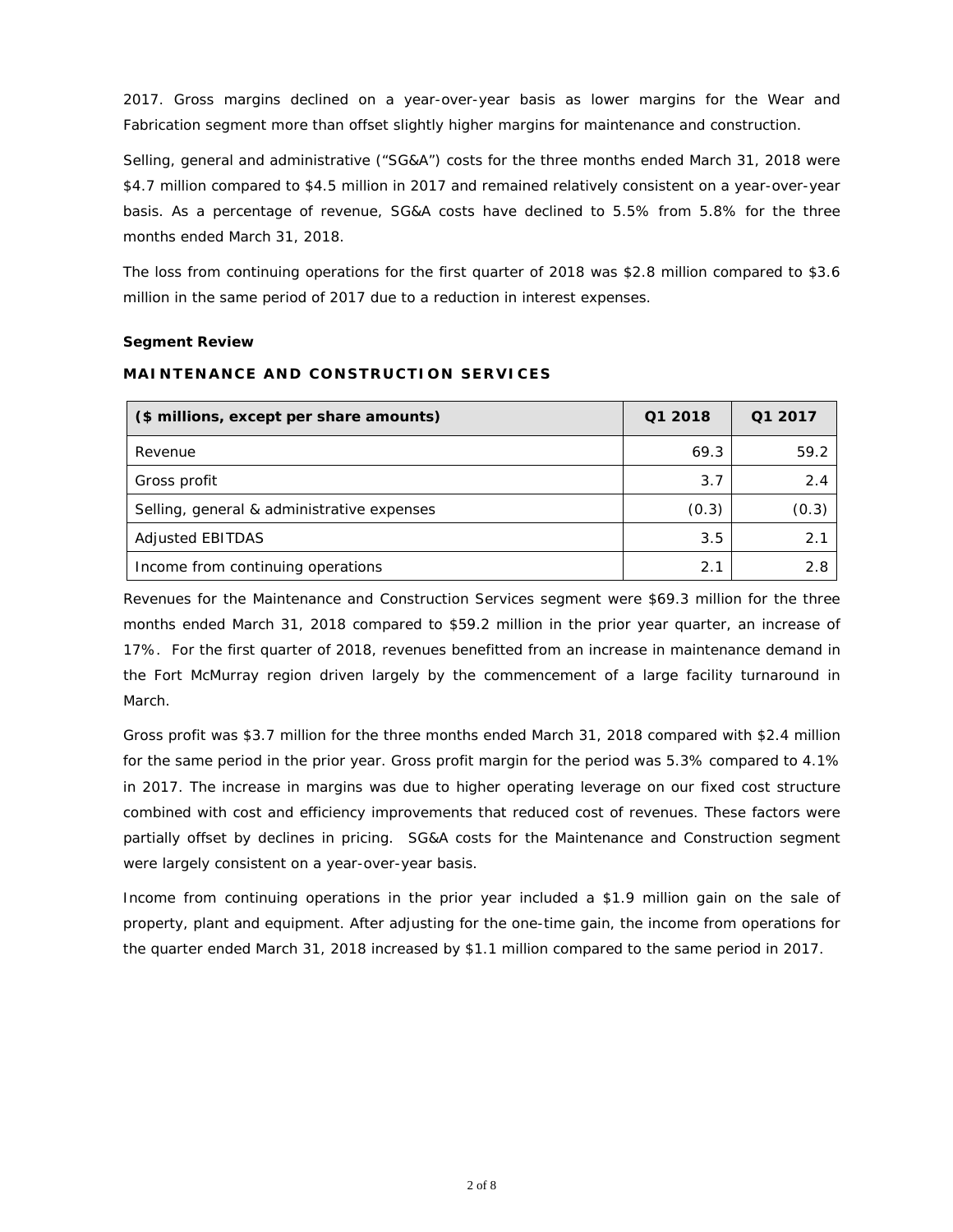2017. Gross margins declined on a year-over-year basis as lower margins for the Wear and Fabrication segment more than offset slightly higher margins for maintenance and construction.

Selling, general and administrative ("SG&A") costs for the three months ended March 31, 2018 were \$4.7 million compared to \$4.5 million in 2017 and remained relatively consistent on a year-over-year basis. As a percentage of revenue, SG&A costs have declined to 5.5% from 5.8% for the three months ended March 31, 2018.

The loss from continuing operations for the first quarter of 2018 was \$2.8 million compared to \$3.6 million in the same period of 2017 due to a reduction in interest expenses.

#### **Segment Review**

## **MAINTENANCE AND CONSTRUCTION SERVICES**

| (\$ millions, except per share amounts)    | Q1 2018 | Q1 2017 |
|--------------------------------------------|---------|---------|
| Revenue                                    | 69.3    | 59.2    |
| Gross profit                               | 3.7     | 2.4     |
| Selling, general & administrative expenses | (0.3)   | (0.3)   |
| <b>Adjusted EBITDAS</b>                    | 3.5     | 2.1     |
| Income from continuing operations          | 2.1     | 2.8     |

Revenues for the Maintenance and Construction Services segment were \$69.3 million for the three months ended March 31, 2018 compared to \$59.2 million in the prior year quarter, an increase of 17%. For the first quarter of 2018, revenues benefitted from an increase in maintenance demand in the Fort McMurray region driven largely by the commencement of a large facility turnaround in March.

Gross profit was \$3.7 million for the three months ended March 31, 2018 compared with \$2.4 million for the same period in the prior year. Gross profit margin for the period was 5.3% compared to 4.1% in 2017. The increase in margins was due to higher operating leverage on our fixed cost structure combined with cost and efficiency improvements that reduced cost of revenues. These factors were partially offset by declines in pricing. SG&A costs for the Maintenance and Construction segment were largely consistent on a year-over-year basis.

Income from continuing operations in the prior year included a \$1.9 million gain on the sale of property, plant and equipment. After adjusting for the one-time gain, the income from operations for the quarter ended March 31, 2018 increased by \$1.1 million compared to the same period in 2017.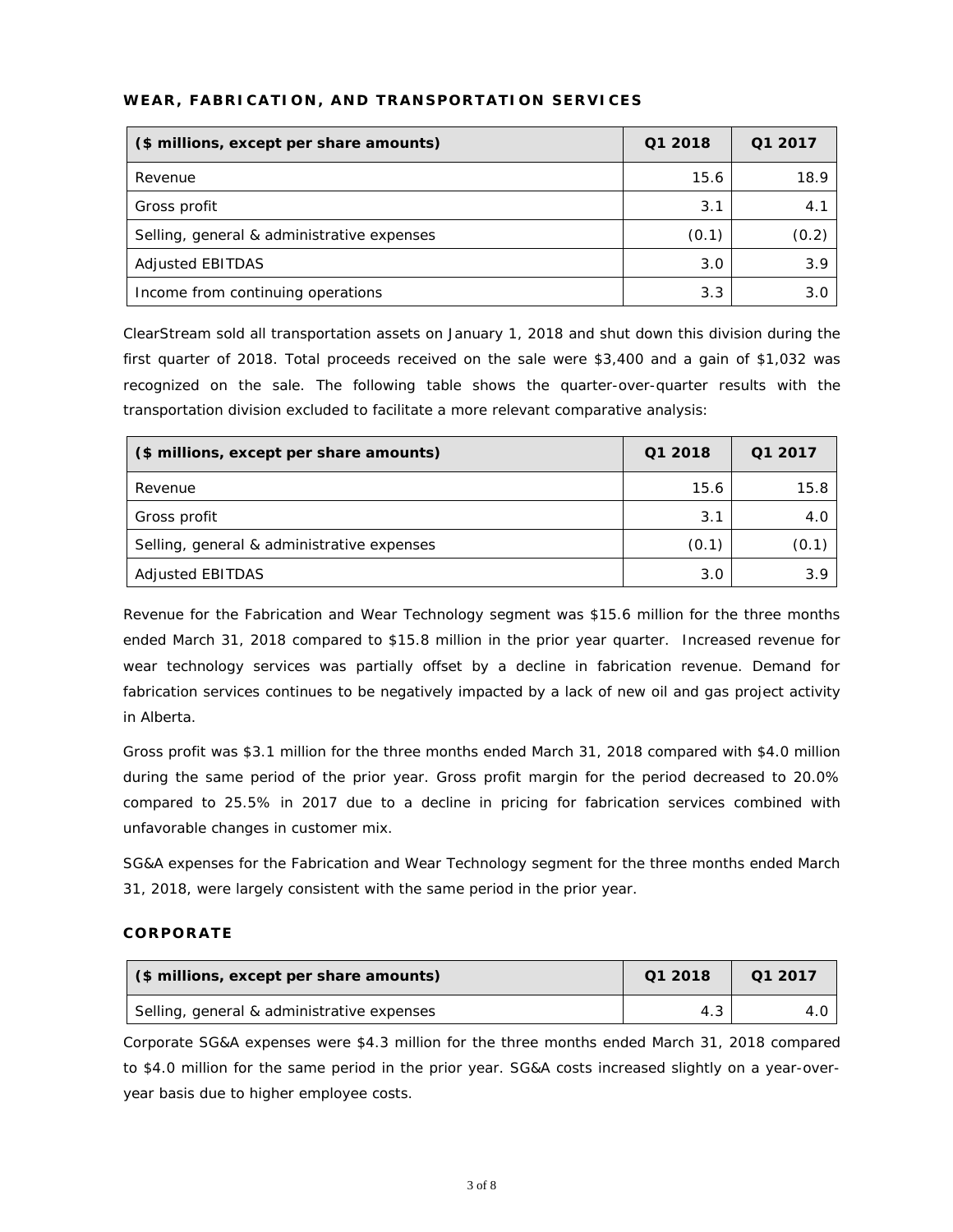| (\$ millions, except per share amounts)    | Q1 2018 | Q1 2017 |
|--------------------------------------------|---------|---------|
| Revenue                                    | 15.6    | 18.9    |
| Gross profit                               | 3.1     | 4.1     |
| Selling, general & administrative expenses | (0.1)   | (0.2)   |
| <b>Adjusted EBITDAS</b>                    | 3.0     | 3.9     |
| Income from continuing operations          | 3.3     | 3.0     |

## **WEAR, FABRICATION, AND TRANSPORTATION SERVICES**

ClearStream sold all transportation assets on January 1, 2018 and shut down this division during the first quarter of 2018. Total proceeds received on the sale were \$3,400 and a gain of \$1,032 was recognized on the sale. The following table shows the quarter-over-quarter results with the transportation division excluded to facilitate a more relevant comparative analysis:

| (\$ millions, except per share amounts)    | Q1 2018 | Q1 2017 |
|--------------------------------------------|---------|---------|
| Revenue                                    | 15.6    | 15.8    |
| Gross profit                               | 3.1     | 4.C     |
| Selling, general & administrative expenses | (0.1)   | (0.1)   |
| Adjusted EBITDAS                           | 3.0     | 3.9     |

Revenue for the Fabrication and Wear Technology segment was \$15.6 million for the three months ended March 31, 2018 compared to \$15.8 million in the prior year quarter. Increased revenue for wear technology services was partially offset by a decline in fabrication revenue. Demand for fabrication services continues to be negatively impacted by a lack of new oil and gas project activity in Alberta.

Gross profit was \$3.1 million for the three months ended March 31, 2018 compared with \$4.0 million during the same period of the prior year. Gross profit margin for the period decreased to 20.0% compared to 25.5% in 2017 due to a decline in pricing for fabrication services combined with unfavorable changes in customer mix.

SG&A expenses for the Fabrication and Wear Technology segment for the three months ended March 31, 2018, were largely consistent with the same period in the prior year.

### **CORPORATE**

| (\$ millions, except per share amounts)    | Q1 2018 | Q1 2017 |
|--------------------------------------------|---------|---------|
| Selling, general & administrative expenses | 4.3     |         |

Corporate SG&A expenses were \$4.3 million for the three months ended March 31, 2018 compared to \$4.0 million for the same period in the prior year. SG&A costs increased slightly on a year-overyear basis due to higher employee costs.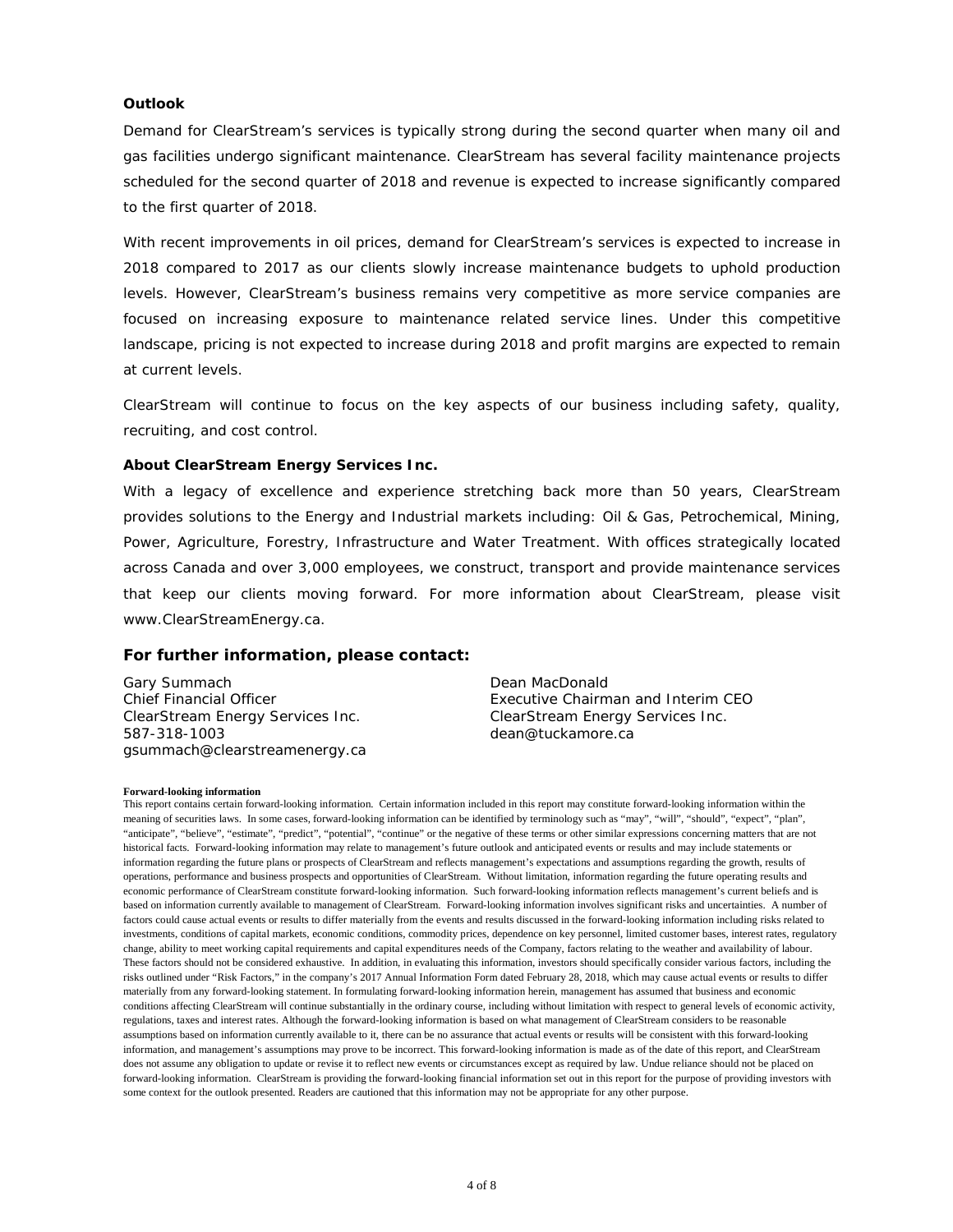### **Outlook**

Demand for ClearStream's services is typically strong during the second quarter when many oil and gas facilities undergo significant maintenance. ClearStream has several facility maintenance projects scheduled for the second quarter of 2018 and revenue is expected to increase significantly compared to the first quarter of 2018.

With recent improvements in oil prices, demand for ClearStream's services is expected to increase in 2018 compared to 2017 as our clients slowly increase maintenance budgets to uphold production levels. However, ClearStream's business remains very competitive as more service companies are focused on increasing exposure to maintenance related service lines. Under this competitive landscape, pricing is not expected to increase during 2018 and profit margins are expected to remain at current levels.

ClearStream will continue to focus on the key aspects of our business including safety, quality, recruiting, and cost control.

#### **About ClearStream Energy Services Inc.**

With a legacy of excellence and experience stretching back more than 50 years, ClearStream provides solutions to the Energy and Industrial markets including: Oil & Gas, Petrochemical, Mining, Power, Agriculture, Forestry, Infrastructure and Water Treatment. With offices strategically located across Canada and over 3,000 employees, we construct, transport and provide maintenance services that keep our clients moving forward. For more information about ClearStream, please visit [www.ClearStreamEnergy.ca.](http://www.clearstreamenergy.ca/)

#### **For further information, please contact:**

Gary Summach Chief Financial Officer ClearStream Energy Services Inc. 587-318-1003 gsummach@clearstreamenergy.ca

Dean MacDonald Executive Chairman and Interim CEO ClearStream Energy Services Inc. dean@tuckamore.ca

#### **Forward-looking information**

This report contains certain forward-looking information. Certain information included in this report may constitute forward-looking information within the meaning of securities laws. In some cases, forward-looking information can be identified by terminology such as "may", "will", "should", "expect", "plan", "anticipate", "believe", "estimate", "predict", "potential", "continue" or the negative of these terms or other similar expressions concerning matters that are not historical facts. Forward-looking information may relate to management's future outlook and anticipated events or results and may include statements or information regarding the future plans or prospects of ClearStream and reflects management's expectations and assumptions regarding the growth, results of operations, performance and business prospects and opportunities of ClearStream. Without limitation, information regarding the future operating results and economic performance of ClearStream constitute forward-looking information. Such forward-looking information reflects management's current beliefs and is based on information currently available to management of ClearStream. Forward-looking information involves significant risks and uncertainties. A number of factors could cause actual events or results to differ materially from the events and results discussed in the forward-looking information including risks related to investments, conditions of capital markets, economic conditions, commodity prices, dependence on key personnel, limited customer bases, interest rates, regulatory change, ability to meet working capital requirements and capital expenditures needs of the Company, factors relating to the weather and availability of labour. These factors should not be considered exhaustive. In addition, in evaluating this information, investors should specifically consider various factors, including the risks outlined under "Risk Factors," in the company's 2017 Annual Information Form dated February 28, 2018, which may cause actual events or results to differ materially from any forward-looking statement. In formulating forward-looking information herein, management has assumed that business and economic conditions affecting ClearStream will continue substantially in the ordinary course, including without limitation with respect to general levels of economic activity, regulations, taxes and interest rates. Although the forward-looking information is based on what management of ClearStream considers to be reasonable assumptions based on information currently available to it, there can be no assurance that actual events or results will be consistent with this forward-looking information, and management's assumptions may prove to be incorrect. This forward-looking information is made as of the date of this report, and ClearStream does not assume any obligation to update or revise it to reflect new events or circumstances except as required by law. Undue reliance should not be placed on forward-looking information. ClearStream is providing the forward-looking financial information set out in this report for the purpose of providing investors with some context for the outlook presented. Readers are cautioned that this information may not be appropriate for any other purpose.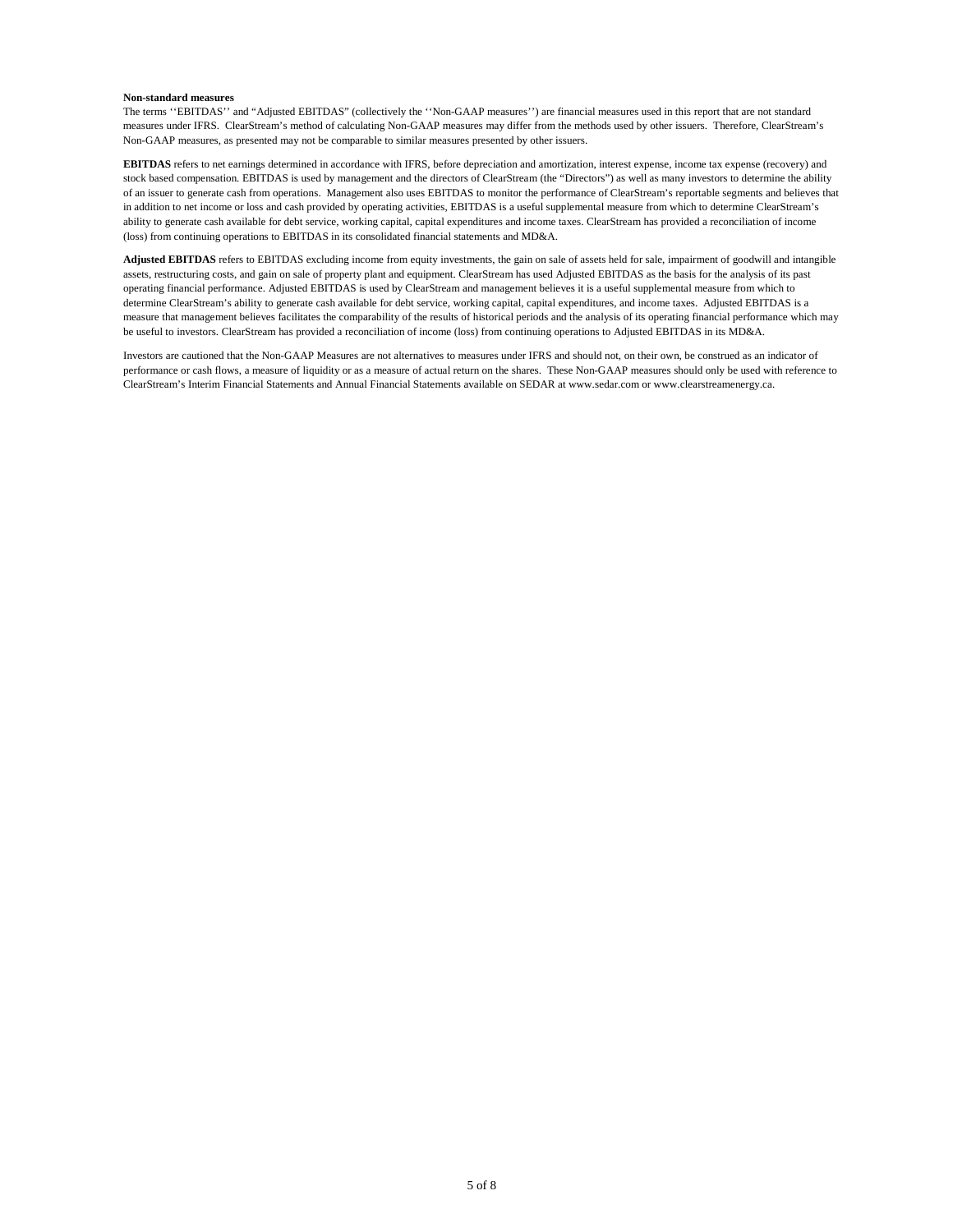#### **Non-standard measures**

The terms ''EBITDAS'' and "Adjusted EBITDAS" (collectively the ''Non-GAAP measures'') are financial measures used in this report that are not standard measures under IFRS. ClearStream's method of calculating Non-GAAP measures may differ from the methods used by other issuers. Therefore, ClearStream's Non-GAAP measures, as presented may not be comparable to similar measures presented by other issuers.

**EBITDAS** refers to net earnings determined in accordance with IFRS, before depreciation and amortization, interest expense, income tax expense (recovery) and stock based compensation. EBITDAS is used by management and the directors of ClearStream (the "Directors") as well as many investors to determine the ability of an issuer to generate cash from operations. Management also uses EBITDAS to monitor the performance of ClearStream's reportable segments and believes that in addition to net income or loss and cash provided by operating activities, EBITDAS is a useful supplemental measure from which to determine ClearStream's ability to generate cash available for debt service, working capital, capital expenditures and income taxes. ClearStream has provided a reconciliation of income (loss) from continuing operations to EBITDAS in its consolidated financial statements and MD&A.

**Adjusted EBITDAS** refers to EBITDAS excluding income from equity investments, the gain on sale of assets held for sale, impairment of goodwill and intangible assets, restructuring costs, and gain on sale of property plant and equipment. ClearStream has used Adjusted EBITDAS as the basis for the analysis of its past operating financial performance. Adjusted EBITDAS is used by ClearStream and management believes it is a useful supplemental measure from which to determine ClearStream's ability to generate cash available for debt service, working capital, capital expenditures, and income taxes. Adjusted EBITDAS is a measure that management believes facilitates the comparability of the results of historical periods and the analysis of its operating financial performance which may be useful to investors. ClearStream has provided a reconciliation of income (loss) from continuing operations to Adjusted EBITDAS in its MD&A.

Investors are cautioned that the Non-GAAP Measures are not alternatives to measures under IFRS and should not, on their own, be construed as an indicator of performance or cash flows, a measure of liquidity or as a measure of actual return on the shares. These Non-GAAP measures should only be used with reference to ClearStream's Interim Financial Statements and Annual Financial Statements available on SEDAR a[t www.sedar.com](http://www.sedar.com/) or www.clearstreamenergy.ca.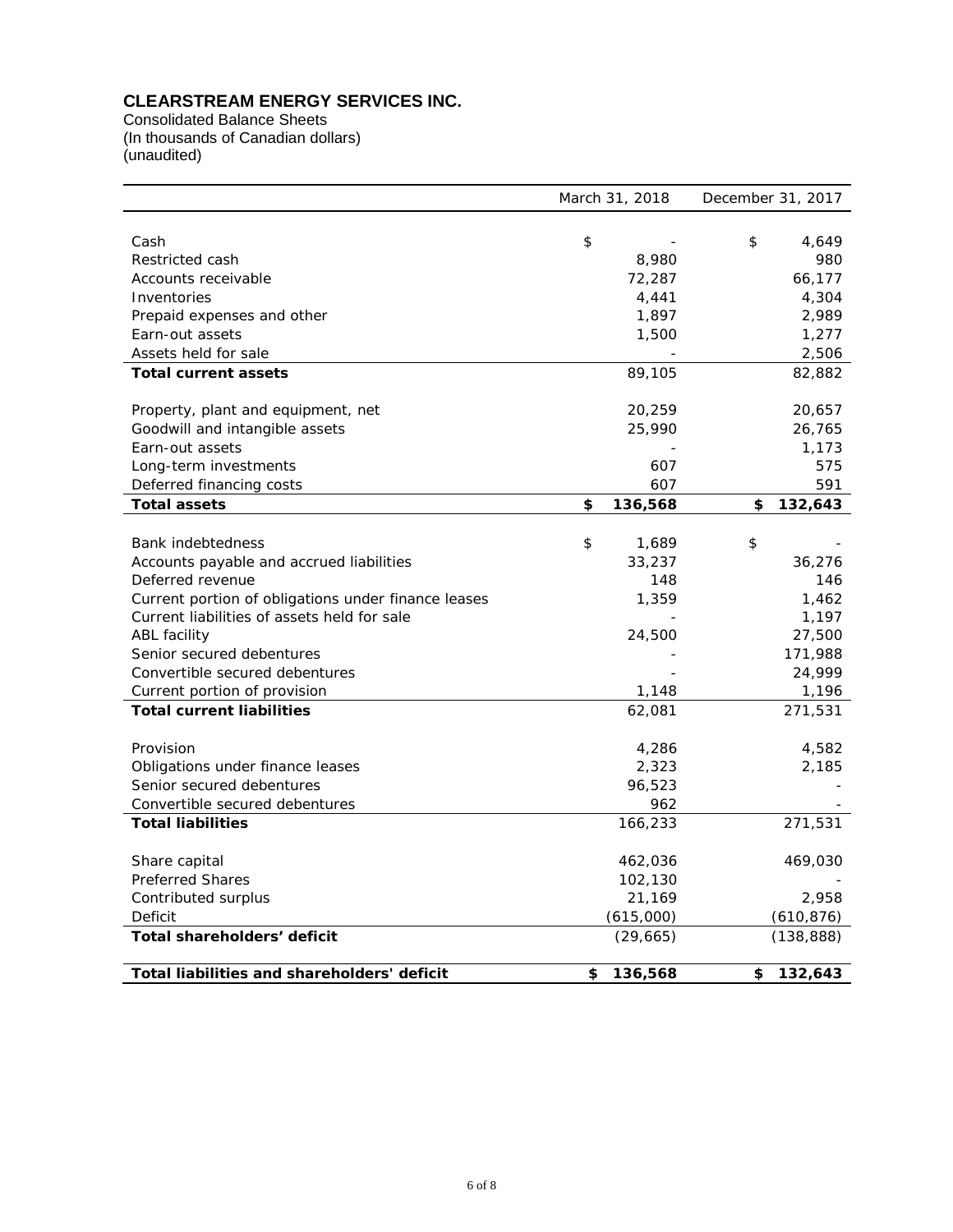# **CLEARSTREAM ENERGY SERVICES INC.**

Consolidated Balance Sheets (In thousands of Canadian dollars) (unaudited)

|                                                     | March 31, 2018 | December 31, 2017 |            |
|-----------------------------------------------------|----------------|-------------------|------------|
|                                                     |                |                   |            |
| Cash                                                | \$             | \$                | 4,649      |
| Restricted cash                                     | 8,980          |                   | 980        |
| Accounts receivable                                 | 72,287         |                   | 66,177     |
| Inventories                                         | 4,441          |                   | 4,304      |
| Prepaid expenses and other                          | 1,897          |                   | 2,989      |
| Earn-out assets                                     | 1,500          |                   | 1,277      |
| Assets held for sale                                |                |                   | 2,506      |
| <b>Total current assets</b>                         | 89,105         |                   | 82,882     |
|                                                     |                |                   |            |
| Property, plant and equipment, net                  | 20,259         |                   | 20,657     |
| Goodwill and intangible assets                      | 25,990         |                   | 26,765     |
| Earn-out assets                                     |                |                   | 1,173      |
| Long-term investments                               | 607            |                   | 575        |
| Deferred financing costs                            | 607            |                   | 591        |
| <b>Total assets</b>                                 | \$<br>136,568  | \$                | 132,643    |
|                                                     |                |                   |            |
| <b>Bank indebtedness</b>                            | \$<br>1,689    | \$                |            |
| Accounts payable and accrued liabilities            | 33,237         |                   | 36,276     |
| Deferred revenue                                    | 148            |                   | 146        |
| Current portion of obligations under finance leases | 1,359          |                   | 1,462      |
| Current liabilities of assets held for sale         |                |                   | 1,197      |
| ABL facility                                        | 24,500         |                   | 27,500     |
| Senior secured debentures                           |                |                   | 171,988    |
| Convertible secured debentures                      |                |                   | 24,999     |
| Current portion of provision                        | 1,148          |                   | 1,196      |
| <b>Total current liabilities</b>                    | 62,081         |                   | 271,531    |
|                                                     |                |                   |            |
| Provision                                           | 4,286          |                   | 4,582      |
| Obligations under finance leases                    | 2,323          |                   | 2,185      |
| Senior secured debentures                           | 96,523         |                   |            |
| Convertible secured debentures                      | 962            |                   |            |
| <b>Total liabilities</b>                            | 166,233        |                   | 271,531    |
|                                                     |                |                   |            |
| Share capital                                       | 462,036        |                   | 469,030    |
| <b>Preferred Shares</b>                             | 102,130        |                   |            |
| Contributed surplus                                 | 21,169         |                   | 2,958      |
| Deficit                                             | (615,000)      |                   | (610, 876) |
| Total shareholders' deficit                         | (29, 665)      |                   | (138, 888) |
|                                                     |                |                   |            |
| Total liabilities and shareholders' deficit         | \$<br>136,568  | \$                | 132,643    |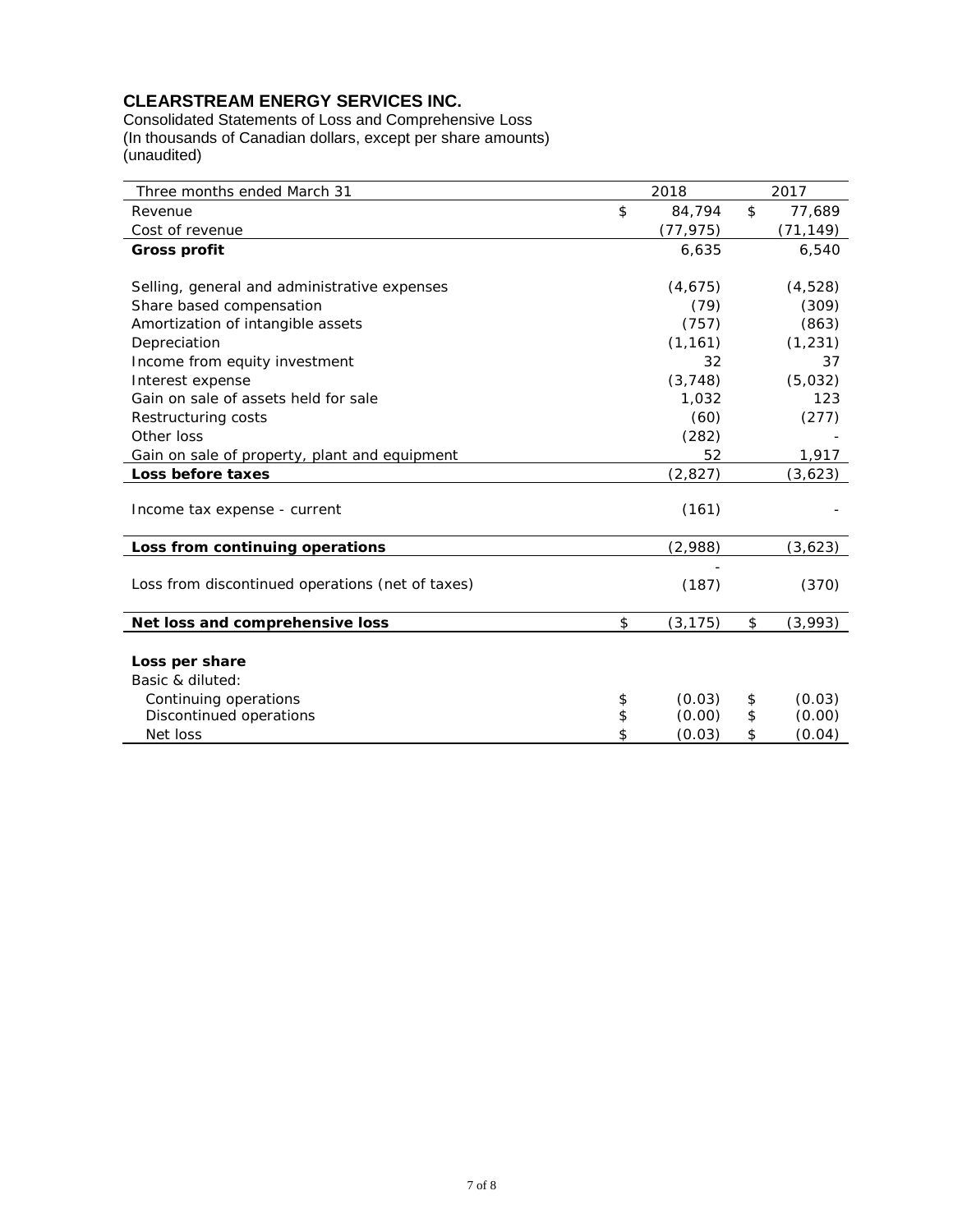# **CLEARSTREAM ENERGY SERVICES INC.**

Consolidated Statements of Loss and Comprehensive Loss (In thousands of Canadian dollars, except per share amounts) (unaudited)

| Three months ended March 31                      | 2018           | 2017          |
|--------------------------------------------------|----------------|---------------|
| Revenue                                          | \$<br>84,794   | \$<br>77,689  |
| Cost of revenue                                  | (77,975)       | (71, 149)     |
| <b>Gross profit</b>                              | 6,635          | 6,540         |
|                                                  |                |               |
| Selling, general and administrative expenses     | (4,675)        | (4, 528)      |
| Share based compensation                         | (79)           | (309)         |
| Amortization of intangible assets                | (757)          | (863)         |
| Depreciation                                     | (1, 161)       | (1, 231)      |
| Income from equity investment                    | 32             | 37            |
| Interest expense                                 | (3, 748)       | (5,032)       |
| Gain on sale of assets held for sale             | 1,032          | 123           |
| Restructuring costs                              | (60)           | (277)         |
| Other loss                                       | (282)          |               |
| Gain on sale of property, plant and equipment    | 52             | 1,917         |
| Loss before taxes                                | (2, 827)       | (3,623)       |
| Income tax expense - current                     | (161)          |               |
| Loss from continuing operations                  | (2,988)        | (3,623)       |
|                                                  |                |               |
| Loss from discontinued operations (net of taxes) | (187)          | (370)         |
| Net loss and comprehensive loss                  | \$<br>(3, 175) | \$<br>(3,993) |
|                                                  |                |               |
| Loss per share                                   |                |               |
| Basic & diluted:                                 |                |               |
| Continuing operations                            | \$<br>(0.03)   | \$<br>(0.03)  |
| Discontinued operations                          | \$<br>(0.00)   | \$<br>(0.00)  |
| Net loss                                         | \$<br>(0.03)   | \$<br>(0.04)  |